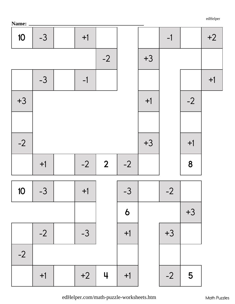| $\blacksquare$ |      |      |                |      |      |      |      |      |
|----------------|------|------|----------------|------|------|------|------|------|
| 10             | $-3$ | $+1$ |                |      |      | $-1$ |      | $+2$ |
|                |      |      | $-2$           |      | $+3$ |      |      |      |
|                | $-3$ | $-1$ |                |      |      |      |      | $+1$ |
| $+3$           |      |      |                |      | $+1$ |      | $-2$ |      |
|                |      |      |                |      |      |      |      |      |
| $-2$           |      |      |                |      | $+3$ |      | $+1$ |      |
|                | $+1$ | $-2$ | $\overline{2}$ | $-2$ |      |      | 8    |      |
| 10             | $-3$ | $+1$ |                | $-3$ |      | $-2$ |      |      |
|                |      |      |                | 6    |      |      | $+3$ |      |
|                | $-2$ | $-3$ |                | $+1$ |      | $+3$ |      |      |
| $-2$           |      |      |                |      |      |      |      |      |
|                | $+1$ | $+2$ | $\downarrow$   | $+1$ |      | $-2$ | 5    |      |

edHelper.com/math-puzzle-worksheets.htm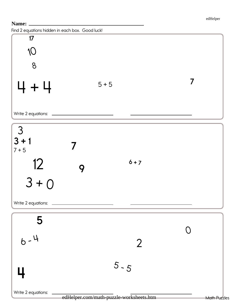Find 2 equations hidden in each box. Good luck!

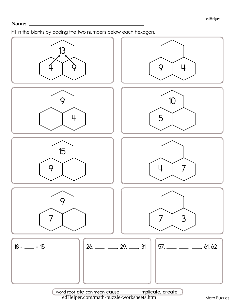Fill in the blanks by adding the two numbers below each hexagon.

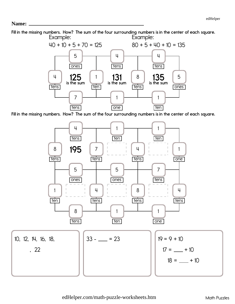Fill in the missing numbers. How? The sum of the four surrounding numbers is in the center of each square. Example: Example:



Fill in the missing numbers. How? The sum of the four surrounding numbers is in the center of each square.

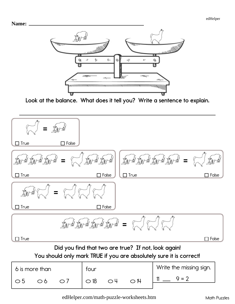



Look at the balance. What does it tell you? Write a sentence to explain.



You should only mark TRUE if you are absolutely sure it is correct!

| 6 is more than |    |  | tour       |              |               | Write the missing sign. |  |
|----------------|----|--|------------|--------------|---------------|-------------------------|--|
| $\circ$ 5      | Oб |  | $\circ$ 18 | $\bigcirc$ 4 | $\bigcirc$ 14 | $Q = 2$                 |  |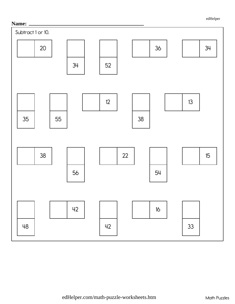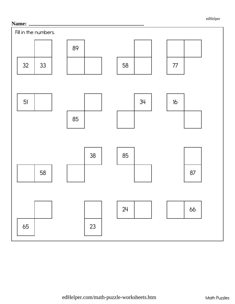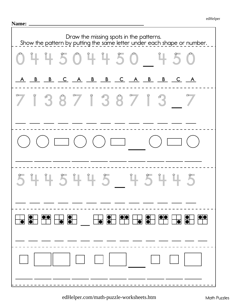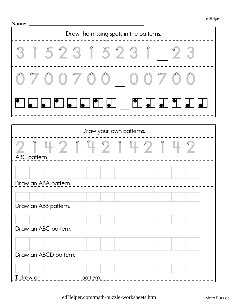| Draw the missing spots in the patterns. |                                                                             |                                                                                                                                                                                                                                                                                                                                                                                                                                                                                                                                                                                            |  |  |  |  |
|-----------------------------------------|-----------------------------------------------------------------------------|--------------------------------------------------------------------------------------------------------------------------------------------------------------------------------------------------------------------------------------------------------------------------------------------------------------------------------------------------------------------------------------------------------------------------------------------------------------------------------------------------------------------------------------------------------------------------------------------|--|--|--|--|
|                                         |                                                                             | 315231523123                                                                                                                                                                                                                                                                                                                                                                                                                                                                                                                                                                               |  |  |  |  |
| $0 \neq 0$                              | $\begin{array}{ccc} & \bullet & \bullet \\ & \bullet & \bullet \end{array}$ | $\begin{pmatrix} 1 & 1 \\ 1 & 1 \end{pmatrix}$                                                                                                                                                                                                                                                                                                                                                                                                                                                                                                                                             |  |  |  |  |
|                                         |                                                                             |                                                                                                                                                                                                                                                                                                                                                                                                                                                                                                                                                                                            |  |  |  |  |
|                                         | Draw your own patterns.                                                     |                                                                                                                                                                                                                                                                                                                                                                                                                                                                                                                                                                                            |  |  |  |  |
| $\approx$<br>ABC pattern                |                                                                             | $\begin{array}{c} \begin{array}{c} \alpha \\ \alpha \end{array} \end{array} \begin{array}{c} \begin{array}{c} \alpha \\ \alpha \end{array} \end{array} \begin{array}{c} \begin{array}{c} \alpha \\ \alpha \end{array} \end{array} \begin{array}{c} \begin{array}{c} \alpha \\ \alpha \end{array} \end{array} \begin{array}{c} \begin{array}{c} \alpha \\ \alpha \end{array} \end{array} \begin{array}{c} \begin{array}{c} \alpha \\ \alpha \end{array} \end{array} \begin{array}{c} \begin{array}{c} \alpha \\ \alpha \end{array} \end{array} \begin{array}{c} \begin{array}{c} \alpha \\$ |  |  |  |  |
| Draw an ABA pattern.                    |                                                                             |                                                                                                                                                                                                                                                                                                                                                                                                                                                                                                                                                                                            |  |  |  |  |
| Draw an ABB pattern.                    |                                                                             |                                                                                                                                                                                                                                                                                                                                                                                                                                                                                                                                                                                            |  |  |  |  |
| Draw an ABC pattern.                    |                                                                             |                                                                                                                                                                                                                                                                                                                                                                                                                                                                                                                                                                                            |  |  |  |  |
| Draw an ABCD pattern.                   |                                                                             |                                                                                                                                                                                                                                                                                                                                                                                                                                                                                                                                                                                            |  |  |  |  |
| I drew an                               | pattern.                                                                    |                                                                                                                                                                                                                                                                                                                                                                                                                                                                                                                                                                                            |  |  |  |  |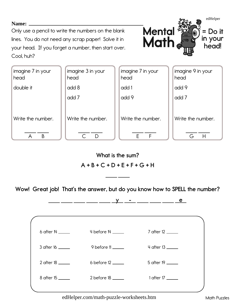Only use a pencil to write the numbers on the blank lines. You do not need any scrap paper! Solve it in your head. If you forget a number, then start over. Cool. huh?

![](_page_9_Picture_2.jpeg)

| imagine 7 in your<br>head | imagine 3 in your<br>head | imagine 7 in your<br>head | imagine 9 in your<br>head |
|---------------------------|---------------------------|---------------------------|---------------------------|
| double it                 | add 8                     | add 1                     | add 9                     |
|                           | add 7                     | add 9                     | add 7                     |
| Write the number.         | Write the number.         | Write the number.         | Write the number.         |
| B                         | D                         | F                         | Н                         |

**What is the sum?** 

# $A + B + C + D + E + F + G + H$

Wow! Great job! That's the answer, but do you know how to SPELL the number?

![](_page_9_Figure_7.jpeg)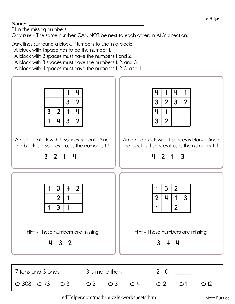### Name:

Fill in the missing numbers.

 $\circ$  308  $\circ$  73

Only rule - The same number CAN NOT be next to each other, in ANY direction.

Dark lines surround a block. Numbers to use in a block:

A block with 1 space has to be the number 1.

A block with 2 spaces must have the numbers 1 and 2.

A block with 3 spaces must have the numbers 1, 2, and 3.

A block with 4 spaces must have the numbers 1, 2, 3, and 4.

![](_page_10_Figure_9.jpeg)

 $\circ$  3

 $\bigcirc$  4

 $\bigcirc$  2

 $\bigcirc$  1

 $\circ$  2

 $\bigcirc$  3

 $\circ$  12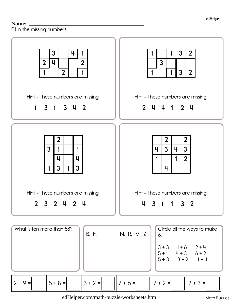## 

Fill in the missing numbers.

![](_page_11_Figure_3.jpeg)

**Math Puzzles**